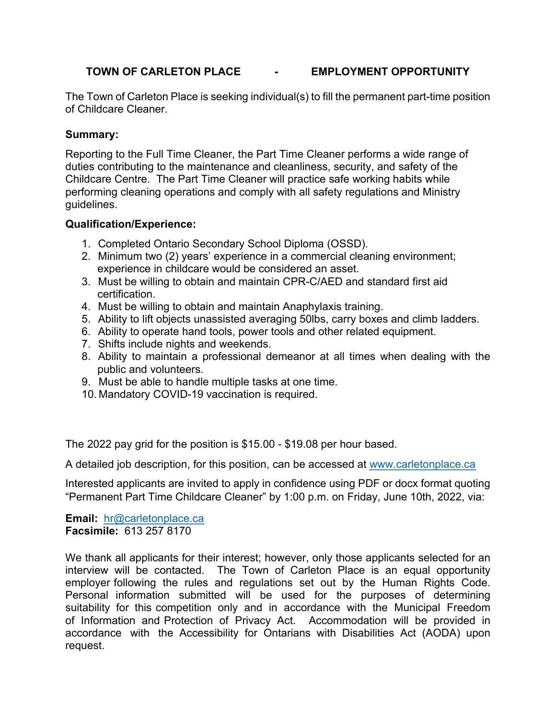### **TOWN OF CARLETON PLACE - EMPLOYMENT OPPORTUNITY**

The Town of Carleton Place is seeking individual(s) to fill the permanent part-time position of Childcare Cleaner.

#### **Summary:**

Reporting to the Full Time Cleaner, the Part Time Cleaner performs a wide range of duties contributing to the maintenance and cleanliness, security, and safety of the Childcare Centre. The Part Time Cleaner will practice safe working habits while performing cleaning operations and comply with all safety regulations and Ministry guidelines.

#### **Qualification/Experience:**

- 1. Completed Ontario Secondary School Diploma (OSSD).
- 2. Minimum two (2) years' experience in a commercial cleaning environment; experience in childcare would be considered an asset.
- 3. Must be willing to obtain and maintain CPR-C/AED and standard first aid certification.
- 4. Must be willing to obtain and maintain Anaphylaxis training.
- 5. Ability to lift objects unassisted averaging 50lbs, carry boxes and climb ladders.
- 6. Ability to operate hand tools, power tools and other related equipment.
- 7. Shifts include nights and weekends.
- 8. Ability to maintain a professional demeanor at all times when dealing with the public and volunteers.
- 9. Must be able to handle multiple tasks at one time.
- 10. Mandatory COVID-19 vaccination is required.

The 2022 pay grid for the position is \$15.00 - \$19.08 per hour based.

A detailed job description, for this position, can be accessed at [www.carletonplace.ca](http://www.carletonplace.ca/)

Interested applicants are invited to apply in confidence using PDF or docx format quoting "Permanent Part Time Childcare Cleaner" by 1:00 p.m. on Friday, June 10th, 2022, via:

**Email:** [hr@carletonplace.ca](mailto:hr@carletonplace.ca) **Facsimile:** 613 257 8170

We thank all applicants for their interest; however, only those applicants selected for an interview will be contacted. The Town of Carleton Place is an equal opportunity employer following the rules and regulations set out by the Human Rights Code. Personal information submitted will be used for the purposes of determining suitability for this competition only and in accordance with the Municipal Freedom of Information and Protection of Privacy Act. Accommodation will be provided in accordance with the Accessibility for Ontarians with Disabilities Act (AODA) upon request.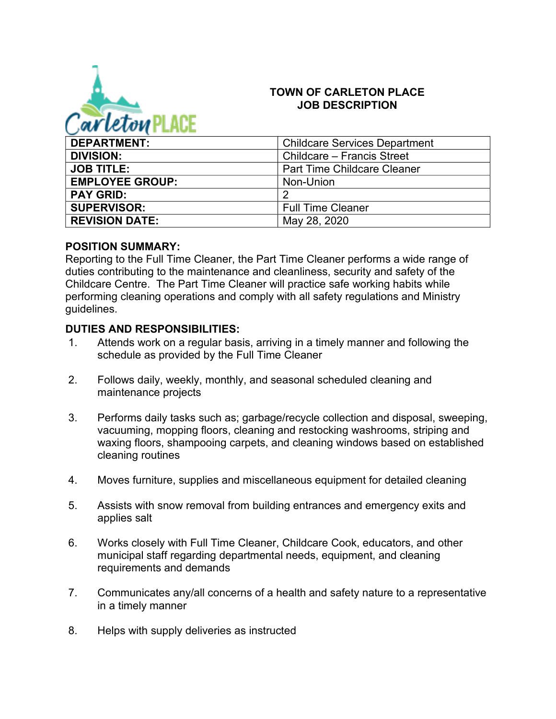

#### **TOWN OF CARLETON PLACE JOB DESCRIPTION**

| <b>DEPARTMENT:</b>     | <b>Childcare Services Department</b> |
|------------------------|--------------------------------------|
| <b>DIVISION:</b>       | Childcare – Francis Street           |
| <b>JOB TITLE:</b>      | <b>Part Time Childcare Cleaner</b>   |
| <b>EMPLOYEE GROUP:</b> | Non-Union                            |
| <b>PAY GRID:</b>       | 2                                    |
| <b>SUPERVISOR:</b>     | <b>Full Time Cleaner</b>             |
| <b>REVISION DATE:</b>  | May 28, 2020                         |

#### **POSITION SUMMARY:**

Reporting to the Full Time Cleaner, the Part Time Cleaner performs a wide range of duties contributing to the maintenance and cleanliness, security and safety of the Childcare Centre. The Part Time Cleaner will practice safe working habits while performing cleaning operations and comply with all safety regulations and Ministry guidelines.

### **DUTIES AND RESPONSIBILITIES:**

- 1. Attends work on a regular basis, arriving in a timely manner and following the schedule as provided by the Full Time Cleaner
- 2. Follows daily, weekly, monthly, and seasonal scheduled cleaning and maintenance projects
- 3. Performs daily tasks such as; garbage/recycle collection and disposal, sweeping, vacuuming, mopping floors, cleaning and restocking washrooms, striping and waxing floors, shampooing carpets, and cleaning windows based on established cleaning routines
- 4. Moves furniture, supplies and miscellaneous equipment for detailed cleaning
- 5. Assists with snow removal from building entrances and emergency exits and applies salt
- 6. Works closely with Full Time Cleaner, Childcare Cook, educators, and other municipal staff regarding departmental needs, equipment, and cleaning requirements and demands
- 7. Communicates any/all concerns of a health and safety nature to a representative in a timely manner
- 8. Helps with supply deliveries as instructed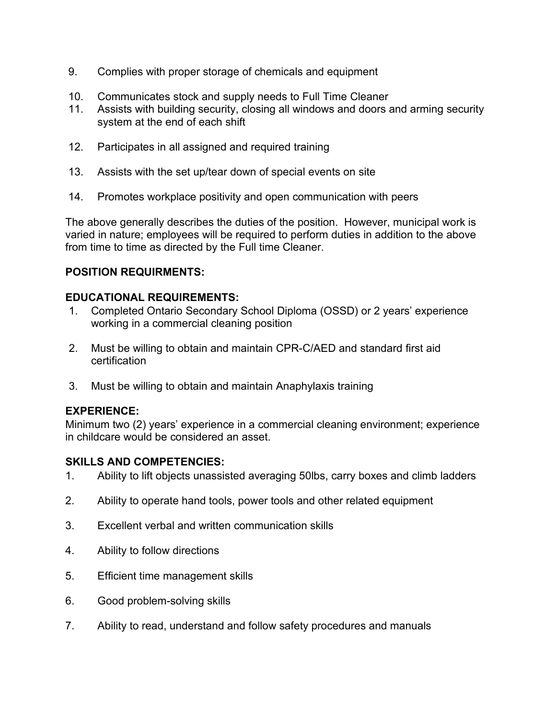- 9. Complies with proper storage of chemicals and equipment
- 10. Communicates stock and supply needs to Full Time Cleaner
- 11. Assists with building security, closing all windows and doors and arming security system at the end of each shift
- 12. Participates in all assigned and required training
- 13. Assists with the set up/tear down of special events on site
- 14. Promotes workplace positivity and open communication with peers

The above generally describes the duties of the position. However, municipal work is varied in nature; employees will be required to perform duties in addition to the above from time to time as directed by the Full time Cleaner.

### **POSITION REQUIRMENTS:**

### **EDUCATIONAL REQUIREMENTS:**

- 1. Completed Ontario Secondary School Diploma (OSSD) or 2 years' experience working in a commercial cleaning position
- 2. Must be willing to obtain and maintain CPR-C/AED and standard first aid certification
- 3. Must be willing to obtain and maintain Anaphylaxis training

## **EXPERIENCE:**

Minimum two (2) years' experience in a commercial cleaning environment; experience in childcare would be considered an asset.

## **SKILLS AND COMPETENCIES:**

- 1. Ability to lift objects unassisted averaging 50lbs, carry boxes and climb ladders
- 2. Ability to operate hand tools, power tools and other related equipment
- 3. Excellent verbal and written communication skills
- 4. Ability to follow directions
- 5. Efficient time management skills
- 6. Good problem-solving skills
- 7. Ability to read, understand and follow safety procedures and manuals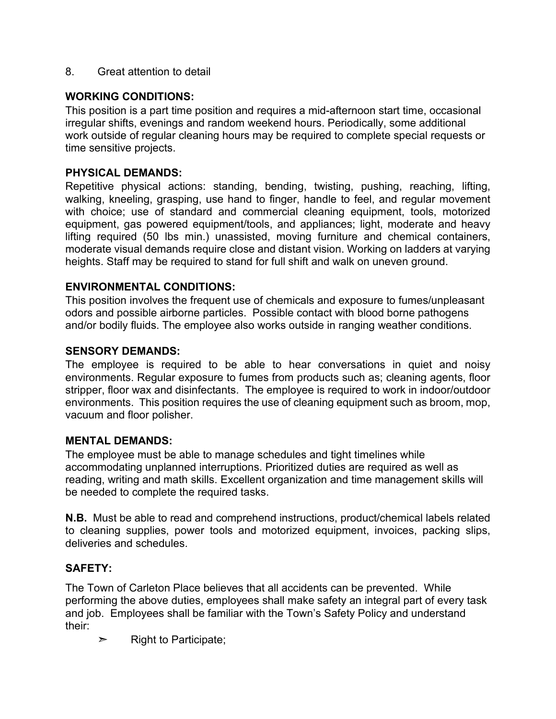8. Great attention to detail

## **WORKING CONDITIONS:**

This position is a part time position and requires a mid-afternoon start time, occasional irregular shifts, evenings and random weekend hours. Periodically, some additional work outside of regular cleaning hours may be required to complete special requests or time sensitive projects.

### **PHYSICAL DEMANDS:**

Repetitive physical actions: standing, bending, twisting, pushing, reaching, lifting, walking, kneeling, grasping, use hand to finger, handle to feel, and regular movement with choice; use of standard and commercial cleaning equipment, tools, motorized equipment, gas powered equipment/tools, and appliances; light, moderate and heavy lifting required (50 lbs min.) unassisted, moving furniture and chemical containers, moderate visual demands require close and distant vision. Working on ladders at varying heights. Staff may be required to stand for full shift and walk on uneven ground.

### **ENVIRONMENTAL CONDITIONS:**

This position involves the frequent use of chemicals and exposure to fumes/unpleasant odors and possible airborne particles. Possible contact with blood borne pathogens and/or bodily fluids. The employee also works outside in ranging weather conditions.

#### **SENSORY DEMANDS:**

The employee is required to be able to hear conversations in quiet and noisy environments. Regular exposure to fumes from products such as; cleaning agents, floor stripper, floor wax and disinfectants. The employee is required to work in indoor/outdoor environments. This position requires the use of cleaning equipment such as broom, mop, vacuum and floor polisher.

#### **MENTAL DEMANDS:**

The employee must be able to manage schedules and tight timelines while accommodating unplanned interruptions. Prioritized duties are required as well as reading, writing and math skills. Excellent organization and time management skills will be needed to complete the required tasks.

**N.B.** Must be able to read and comprehend instructions, product/chemical labels related to cleaning supplies, power tools and motorized equipment, invoices, packing slips, deliveries and schedules.

## **SAFETY:**

The Town of Carleton Place believes that all accidents can be prevented. While performing the above duties, employees shall make safety an integral part of every task and job. Employees shall be familiar with the Town's Safety Policy and understand their:

 $\triangleright$  Right to Participate;